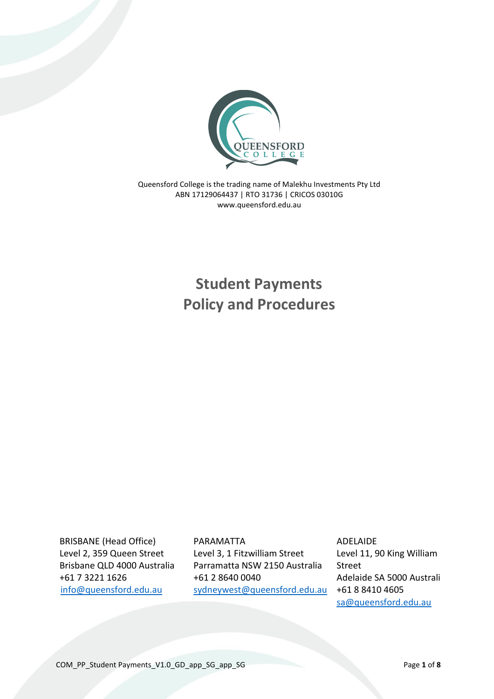

Queensford College is the trading name of Malekhu Investments Pty Ltd ABN 17129064437 | RTO 31736 | CRICOS 03010G www.queensford.edu.au

> **Student Payments Policy and Procedures**

BRISBANE (Head Office) Level 2, 359 Queen Street Brisbane QLD 4000 Australia +61 7 3221 1626 [info@queensford.edu.au](mailto:info@queensford.edu.au)

PARAMATTA Level 3, 1 Fitzwilliam Street Parramatta NSW 2150 Australia +61 2 8640 0040 [sydneywest@queensford.edu.au](mailto:sydneywest@queensford.edu.au) ADELAIDE Level 11, 90 King William Street Adelaide SA 5000 Australia +61 8 8410 4605 [sa@queensford.edu.au](mailto:sa@queensford.edu.au)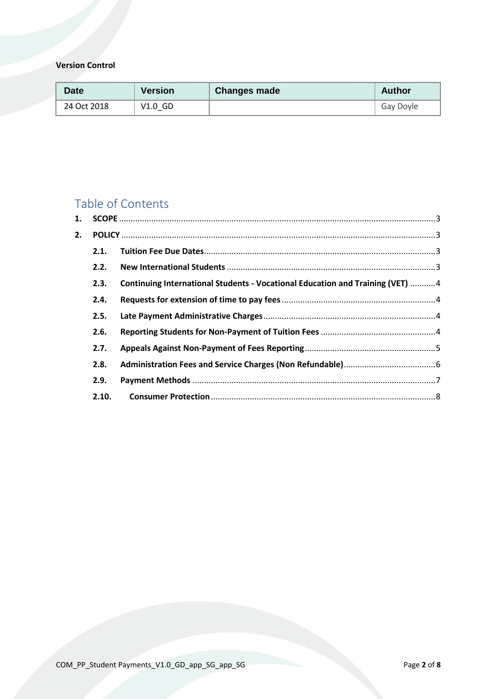## **Version Control**

| Date        | <b>Version</b> | <b>Changes made</b> | Author    |
|-------------|----------------|---------------------|-----------|
| 24 Oct 2018 | $V1.0$ GD      |                     | Gay Doyle |

# Table of Contents

| 1.    |  |                                                                               |  |  |
|-------|--|-------------------------------------------------------------------------------|--|--|
|       |  |                                                                               |  |  |
| 2.1.  |  |                                                                               |  |  |
| 2.2.  |  |                                                                               |  |  |
| 2.3.  |  |                                                                               |  |  |
| 2.4.  |  |                                                                               |  |  |
| 2.5.  |  |                                                                               |  |  |
| 2.6.  |  |                                                                               |  |  |
| 2.7.  |  |                                                                               |  |  |
| 2.8.  |  |                                                                               |  |  |
| 2.9.  |  |                                                                               |  |  |
| 2.10. |  |                                                                               |  |  |
|       |  | Continuing International Students - Vocational Education and Training (VET) 4 |  |  |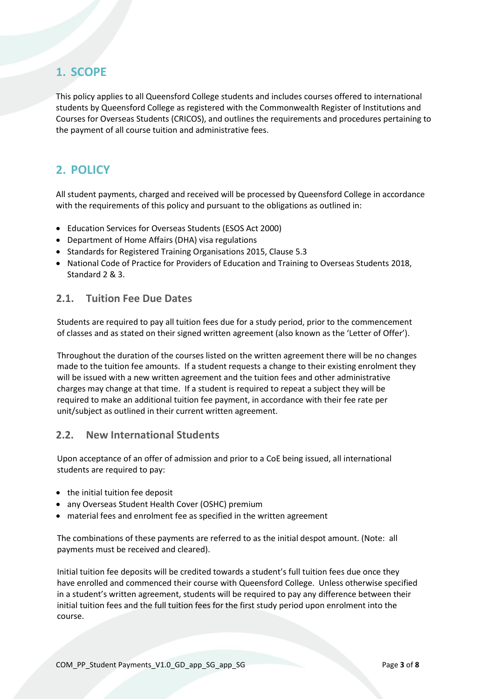# <span id="page-2-0"></span>**1. SCOPE**

This policy applies to all Queensford College students and includes courses offered to international students by Queensford College as registered with the Commonwealth Register of Institutions and Courses for Overseas Students (CRICOS), and outlines the requirements and procedures pertaining to the payment of all course tuition and administrative fees.

# <span id="page-2-1"></span>**2. POLICY**

All student payments, charged and received will be processed by Queensford College in accordance with the requirements of this policy and pursuant to the obligations as outlined in:

- Education Services for Overseas Students (ESOS Act 2000)
- Department of Home Affairs (DHA) visa regulations
- Standards for Registered Training Organisations 2015, Clause 5.3
- National Code of Practice for Providers of Education and Training to Overseas Students 2018, Standard 2 & 3.

### <span id="page-2-2"></span>**2.1. Tuition Fee Due Dates**

Students are required to pay all tuition fees due for a study period, prior to the commencement of classes and as stated on their signed written agreement (also known as the 'Letter of Offer').

Throughout the duration of the courses listed on the written agreement there will be no changes made to the tuition fee amounts. If a student requests a change to their existing enrolment they will be issued with a new written agreement and the tuition fees and other administrative charges may change at that time. If a student is required to repeat a subject they will be required to make an additional tuition fee payment, in accordance with their fee rate per unit/subject as outlined in their current written agreement.

### <span id="page-2-3"></span>**2.2. New International Students**

Upon acceptance of an offer of admission and prior to a CoE being issued, all international students are required to pay:

- the initial tuition fee deposit
- any Overseas Student Health Cover (OSHC) premium
- material fees and enrolment fee as specified in the written agreement

The combinations of these payments are referred to as the initial despot amount. (Note: all payments must be received and cleared).

Initial tuition fee deposits will be credited towards a student's full tuition fees due once they have enrolled and commenced their course with Queensford College. Unless otherwise specified in a student's written agreement, students will be required to pay any difference between their initial tuition fees and the full tuition fees for the first study period upon enrolment into the course.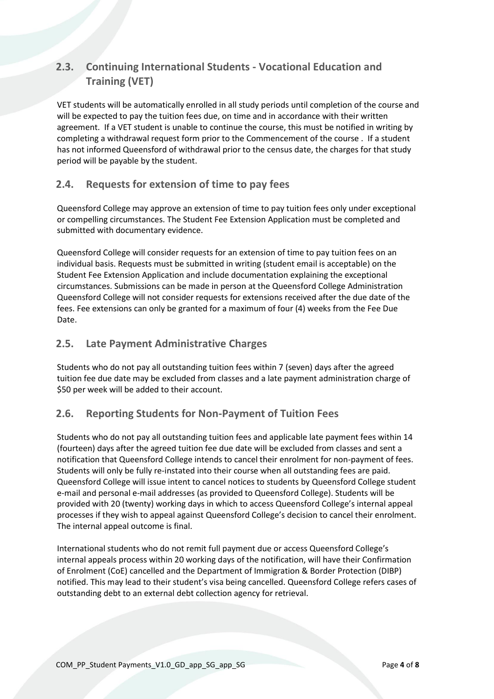# <span id="page-3-0"></span>**2.3. Continuing International Students - Vocational Education and Training (VET)**

VET students will be automatically enrolled in all study periods until completion of the course and will be expected to pay the tuition fees due, on time and in accordance with their written agreement. If a VET student is unable to continue the course, this must be notified in writing by completing a withdrawal request form prior to the Commencement of the course . If a student has not informed Queensford of withdrawal prior to the census date, the charges for that study period will be payable by the student.

## <span id="page-3-1"></span>**2.4. Requests for extension of time to pay fees**

Queensford College may approve an extension of time to pay tuition fees only under exceptional or compelling circumstances. The Student Fee Extension Application must be completed and submitted with documentary evidence.

Queensford College will consider requests for an extension of time to pay tuition fees on an individual basis. Requests must be submitted in writing (student email is acceptable) on the Student Fee Extension Application and include documentation explaining the exceptional circumstances. Submissions can be made in person at the Queensford College Administration Queensford College will not consider requests for extensions received after the due date of the fees. Fee extensions can only be granted for a maximum of four (4) weeks from the Fee Due Date.

## <span id="page-3-2"></span>**2.5. Late Payment Administrative Charges**

Students who do not pay all outstanding tuition fees within 7 (seven) days after the agreed tuition fee due date may be excluded from classes and a late payment administration charge of \$50 per week will be added to their account.

## <span id="page-3-3"></span>**2.6. Reporting Students for Non-Payment of Tuition Fees**

Students who do not pay all outstanding tuition fees and applicable late payment fees within 14 (fourteen) days after the agreed tuition fee due date will be excluded from classes and sent a notification that Queensford College intends to cancel their enrolment for non-payment of fees. Students will only be fully re-instated into their course when all outstanding fees are paid. Queensford College will issue intent to cancel notices to students by Queensford College student e-mail and personal e-mail addresses (as provided to Queensford College). Students will be provided with 20 (twenty) working days in which to access Queensford College's internal appeal processes if they wish to appeal against Queensford College's decision to cancel their enrolment. The internal appeal outcome is final.

International students who do not remit full payment due or access Queensford College's internal appeals process within 20 working days of the notification, will have their Confirmation of Enrolment (CoE) cancelled and the Department of Immigration & Border Protection (DIBP) notified. This may lead to their student's visa being cancelled. Queensford College refers cases of outstanding debt to an external debt collection agency for retrieval.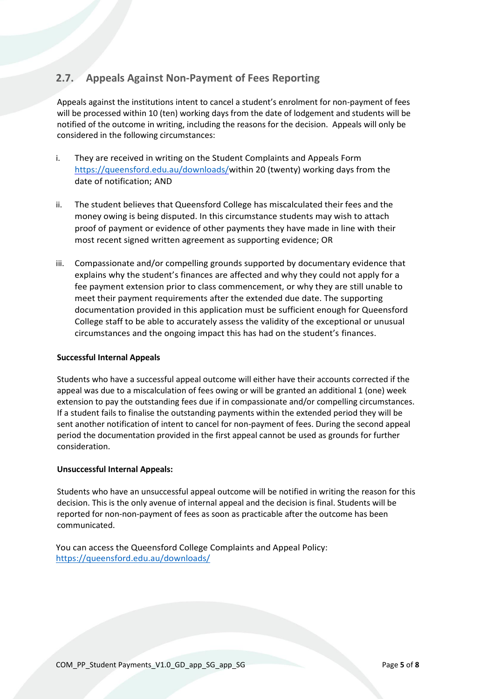## <span id="page-4-0"></span>**2.7. Appeals Against Non-Payment of Fees Reporting**

Appeals against the institutions intent to cancel a student's enrolment for non-payment of fees will be processed within 10 (ten) working days from the date of lodgement and students will be notified of the outcome in writing, including the reasons for the decision. Appeals will only be considered in the following circumstances:

- i. They are received in writing on the Student Complaints and Appeals Form [https://queensford.edu.au/downloads/w](https://queensford.edu.au/downloads/)ithin 20 (twenty) working days from the date of notification; AND
- ii. The student believes that Queensford College has miscalculated their fees and the money owing is being disputed. In this circumstance students may wish to attach proof of payment or evidence of other payments they have made in line with their most recent signed written agreement as supporting evidence; OR
- iii. Compassionate and/or compelling grounds supported by documentary evidence that explains why the student's finances are affected and why they could not apply for a fee payment extension prior to class commencement, or why they are still unable to meet their payment requirements after the extended due date. The supporting documentation provided in this application must be sufficient enough for Queensford College staff to be able to accurately assess the validity of the exceptional or unusual circumstances and the ongoing impact this has had on the student's finances.

### **Successful Internal Appeals**

Students who have a successful appeal outcome will either have their accounts corrected if the appeal was due to a miscalculation of fees owing or will be granted an additional 1 (one) week extension to pay the outstanding fees due if in compassionate and/or compelling circumstances. If a student fails to finalise the outstanding payments within the extended period they will be sent another notification of intent to cancel for non-payment of fees. During the second appeal period the documentation provided in the first appeal cannot be used as grounds for further consideration.

### **Unsuccessful Internal Appeals:**

Students who have an unsuccessful appeal outcome will be notified in writing the reason for this decision. This is the only avenue of internal appeal and the decision is final. Students will be reported for non-non-payment of fees as soon as practicable after the outcome has been communicated.

You can access the Queensford College Complaints and Appeal Policy: <https://queensford.edu.au/downloads/>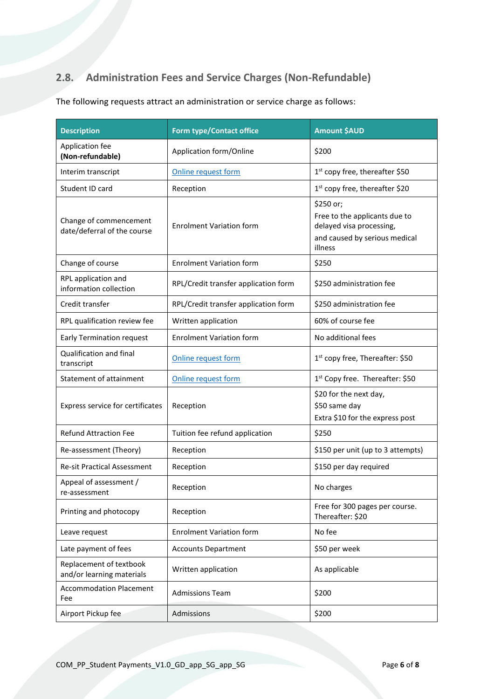# <span id="page-5-0"></span>**2.8. Administration Fees and Service Charges (Non-Refundable)**

| <b>Description</b>                                    | <b>Form type/Contact office</b>      | <b>Amount \$AUD</b>                                                                                                |
|-------------------------------------------------------|--------------------------------------|--------------------------------------------------------------------------------------------------------------------|
| Application fee<br>(Non-refundable)                   | Application form/Online              | \$200                                                                                                              |
| Interim transcript                                    | Online request form                  | 1 <sup>st</sup> copy free, thereafter \$50                                                                         |
| Student ID card                                       | Reception                            | $1st$ copy free, thereafter \$20                                                                                   |
| Change of commencement<br>date/deferral of the course | <b>Enrolment Variation form</b>      | \$250 or;<br>Free to the applicants due to<br>delayed visa processing,<br>and caused by serious medical<br>illness |
| Change of course                                      | <b>Enrolment Variation form</b>      | \$250                                                                                                              |
| RPL application and<br>information collection         | RPL/Credit transfer application form | \$250 administration fee                                                                                           |
| Credit transfer                                       | RPL/Credit transfer application form | \$250 administration fee                                                                                           |
| RPL qualification review fee                          | Written application                  | 60% of course fee                                                                                                  |
| <b>Early Termination request</b>                      | <b>Enrolment Variation form</b>      | No additional fees                                                                                                 |
| Qualification and final<br>transcript                 | Online request form                  | 1 <sup>st</sup> copy free, Thereafter: \$50                                                                        |
| Statement of attainment                               | Online request form                  | 1 <sup>st</sup> Copy free. Thereafter: \$50                                                                        |
| Express service for certificates                      | Reception                            | \$20 for the next day,<br>\$50 same day<br>Extra \$10 for the express post                                         |
| <b>Refund Attraction Fee</b>                          | Tuition fee refund application       | \$250                                                                                                              |
| Re-assessment (Theory)                                | Reception                            | \$150 per unit (up to 3 attempts)                                                                                  |
| <b>Re-sit Practical Assessment</b>                    | Reception                            | \$150 per day required                                                                                             |
| Appeal of assessment /<br>re-assessment               | Reception                            | No charges                                                                                                         |
| Printing and photocopy                                | Reception                            | Free for 300 pages per course.<br>Thereafter: \$20                                                                 |
| Leave request                                         | <b>Enrolment Variation form</b>      | No fee                                                                                                             |
| Late payment of fees                                  | <b>Accounts Department</b>           | \$50 per week                                                                                                      |
| Replacement of textbook<br>and/or learning materials  | Written application                  | As applicable                                                                                                      |
| <b>Accommodation Placement</b><br>Fee                 | <b>Admissions Team</b>               | \$200                                                                                                              |
| Airport Pickup fee                                    | Admissions                           | \$200                                                                                                              |

The following requests attract an administration or service charge as follows: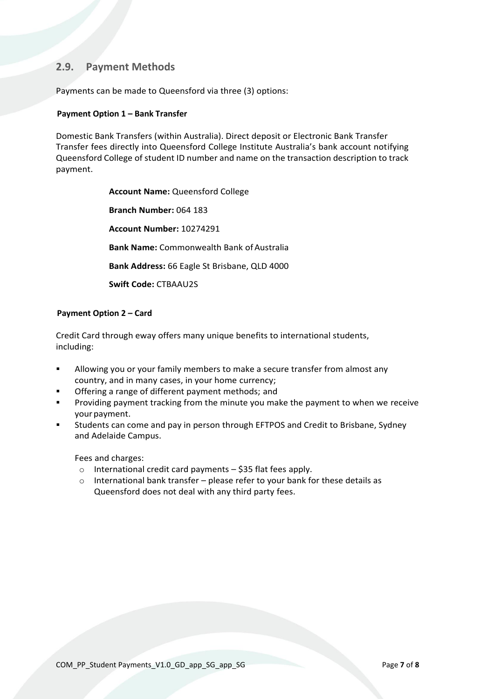### <span id="page-6-0"></span>**2.9. Payment Methods**

Payments can be made to Queensford via three (3) options:

### **Payment Option 1 – Bank Transfer**

Domestic Bank Transfers (within Australia). Direct deposit or Electronic Bank Transfer Transfer fees directly into Queensford College Institute Australia's bank account notifying Queensford College of student ID number and name on the transaction description to track payment.

> **Account Name:** Queensford College **Branch Number:** 064 183 **Account Number:** 10274291 **Bank Name: Commonwealth Bank of Australia Bank Address:** 66 Eagle St Brisbane, QLD 4000 **Swift Code:** CTBAAU2S

### **Payment Option 2 – Card**

Credit Card through eway offers many unique benefits to international students, including:

- Allowing you or your family members to make a secure transfer from almost any country, and in many cases, in your home currency;
- Offering a range of different payment methods; and
- Providing payment tracking from the minute you make the payment to when we receive your payment.
- Students can come and pay in person through EFTPOS and Credit to Brisbane, Sydney and Adelaide Campus.

Fees and charges:

- o International credit card payments \$35 flat fees apply.
- o International bank transfer please refer to your bank for these details as Queensford does not deal with any third party fees.